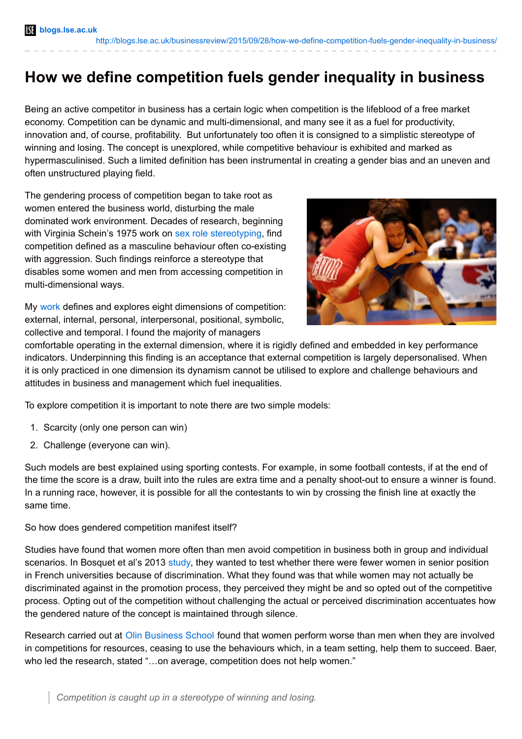## **How we define competition fuels gender inequality in business**

Being an active competitor in business has a certain logic when competition is the lifeblood of a free market economy. Competition can be dynamic and multi-dimensional, and many see it as a fuel for productivity, innovation and, of course, profitability. But unfortunately too often it is consigned to a simplistic stereotype of winning and losing. The concept is unexplored, while competitive behaviour is exhibited and marked as hypermasculinised. Such a limited definition has been instrumental in creating a gender bias and an uneven and often unstructured playing field.

The gendering process of competition began to take root as women entered the business world, disturbing the male dominated work environment. Decades of research, beginning with Virginia Schein's 1975 work on sex role [stereotyping](http://www.researchgate.net/publication/21961821_The_Relationship_Between_Sex_Role_Stereotypes_and_Requisite_Management_Characteristics_Among_Female_Managers), find competition defined as a masculine behaviour often co-existing with aggression. Such findings reinforce a stereotype that disables some women and men from accessing competition in multi-dimensional ways.

My [work](http://www.palgrave.com/page/detail/competition-gender-and-management-jane-dennehy/?isb=9780230389366) defines and explores eight dimensions of competition: external, internal, personal, interpersonal, positional, symbolic, collective and temporal. I found the majority of managers



comfortable operating in the external dimension, where it is rigidly defined and embedded in key performance indicators. Underpinning this finding is an acceptance that external competition is largely depersonalised. When it is only practiced in one dimension its dynamism cannot be utilised to explore and challenge behaviours and attitudes in business and management which fuel inequalities.

To explore competition it is important to note there are two simple models:

- 1. Scarcity (only one person can win)
- 2. Challenge (everyone can win).

Such models are best explained using sporting contests. For example, in some football contests, if at the end of the time the score is a draw, built into the rules are extra time and a penalty shoot-out to ensure a winner is found. In a running race, however, it is possible for all the contestants to win by crossing the finish line at exactly the same time.

## So how does gendered competition manifest itself?

Studies have found that women more often than men avoid competition in business both in group and individual scenarios. In Bosquet et al's 2013 [study](http://eprints.lse.ac.uk/58350/), they wanted to test whether there were fewer women in senior position in French universities because of discrimination. What they found was that while women may not actually be discriminated against in the promotion process, they perceived they might be and so opted out of the competitive process. Opting out of the competition without challenging the actual or perceived discrimination accentuates how the gendered nature of the concept is maintained through silence.

Research carried out at Olin [Business](http://pubsonline.informs.org/doi/abs/10.1287/orsc.2013.0878) School found that women perform worse than men when they are involved in competitions for resources, ceasing to use the behaviours which, in a team setting, help them to succeed. Baer, who led the research, stated "…on average, competition does not help women."